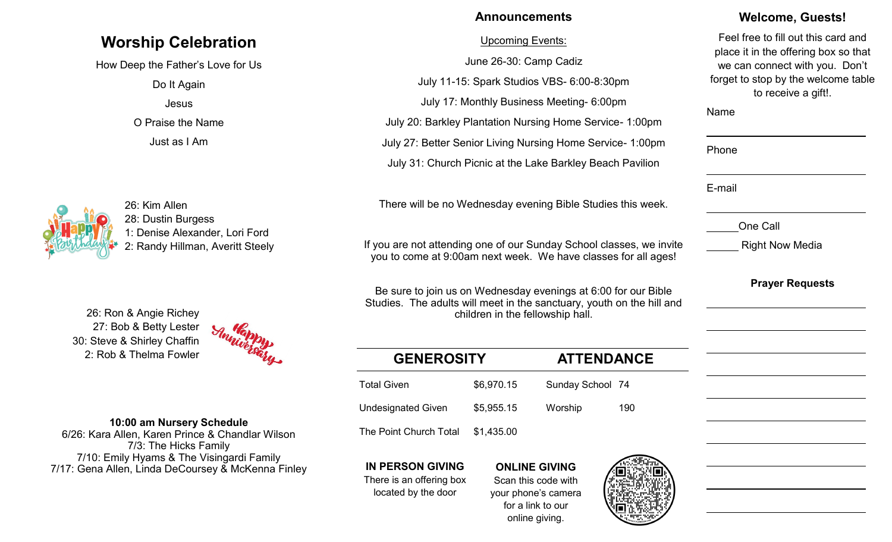# **Worship Celebration**

How Deep the Father's Love for Us

Do It Again Jesus O Praise the Name

Just as I Am



26: Kim Allen 28: Dustin Burgess 1: Denise Alexander, Lori Ford 2: Randy Hillman, Averitt Steely

27: Bob & Betty Lester 30: Steve & Shirley Chaffin 2: Rob & Thelma Fowler



### **10:00 am Nursery Schedule**

6/26: Kara Allen, Karen Prince & Chandlar Wilson 7/3: The Hicks Family 7/10: Emily Hyams & The Visingardi Family 7/17: Gena Allen, Linda DeCoursey & McKenna Finley

## **Announcements**

### Upcoming Events:

June 26-30: Camp Cadiz

July 11-15: Spark Studios VBS- 6:00-8:30pm July 17: Monthly Business Meeting- 6:00pm July 20: Barkley Plantation Nursing Home Service- 1:00pm July 27: Better Senior Living Nursing Home Service- 1:00pm July 31: Church Picnic at the Lake Barkley Beach Pavilion

There will be no Wednesday evening Bible Studies this week.

If you are not attending one of our Sunday School classes, we invite you to come at 9:00am next week. We have classes for all ages!

Be sure to join us on Wednesday evenings at 6:00 for our Bible Studies. The adults will meet in the sanctuary, youth on the hill and 26: Ron & Angie Richey children in the fellowship hall.

| <b>GENEROSITY</b>         |            | <b>ATTENDANCE</b> |     |
|---------------------------|------------|-------------------|-----|
| <b>Total Given</b>        | \$6,970.15 | Sunday School 74  |     |
| <b>Undesignated Given</b> | \$5,955.15 | Worship           | 190 |
| The Point Church Total    | \$1,435.00 |                   |     |

**IN PERSON GIVING**

There is an offering box located by the door

**ONLINE GIVING** Scan this code with your phone's camera for a link to our online giving.



## **Welcome, Guests!**

Feel free to fill out this card and place it in the offering box so that we can connect with you. Don't forget to stop by the welcome table to receive a gift!.

# Name Phone E-mail One Call Right Now Media

**Prayer Requests**